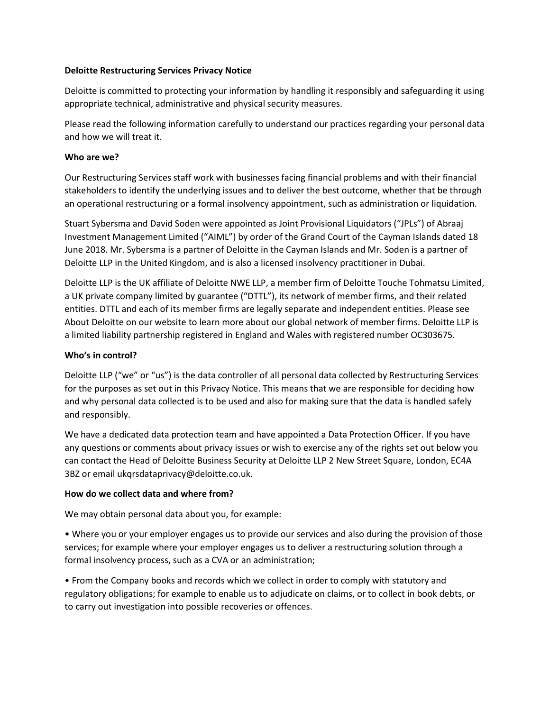# **Deloitte Restructuring Services Privacy Notice**

Deloitte is committed to protecting your information by handling it responsibly and safeguarding it using appropriate technical, administrative and physical security measures.

Please read the following information carefully to understand our practices regarding your personal data and how we will treat it.

# **Who are we?**

Our Restructuring Services staff work with businesses facing financial problems and with their financial stakeholders to identify the underlying issues and to deliver the best outcome, whether that be through an operational restructuring or a formal insolvency appointment, such as administration or liquidation.

Stuart Sybersma and David Soden were appointed as Joint Provisional Liquidators ("JPLs") of Abraaj Investment Management Limited ("AIML") by order of the Grand Court of the Cayman Islands dated 18 June 2018. Mr. Sybersma is a partner of Deloitte in the Cayman Islands and Mr. Soden is a partner of Deloitte LLP in the United Kingdom, and is also a licensed insolvency practitioner in Dubai.

Deloitte LLP is the UK affiliate of Deloitte NWE LLP, a member firm of Deloitte Touche Tohmatsu Limited, a UK private company limited by guarantee ("DTTL"), its network of member firms, and their related entities. DTTL and each of its member firms are legally separate and independent entities. Please see About Deloitte on our website to learn more about our global network of member firms. Deloitte LLP is a limited liability partnership registered in England and Wales with registered number OC303675.

# **Who's in control?**

Deloitte LLP ("we" or "us") is the data controller of all personal data collected by Restructuring Services for the purposes as set out in this Privacy Notice. This means that we are responsible for deciding how and why personal data collected is to be used and also for making sure that the data is handled safely and responsibly.

We have a dedicated data protection team and have appointed a Data Protection Officer. If you have any questions or comments about privacy issues or wish to exercise any of the rights set out below you can contact the Head of Deloitte Business Security at Deloitte LLP 2 New Street Square, London, EC4A 3BZ or email ukqrsdataprivacy@deloitte.co.uk.

# **How do we collect data and where from?**

We may obtain personal data about you, for example:

• Where you or your employer engages us to provide our services and also during the provision of those services; for example where your employer engages us to deliver a restructuring solution through a formal insolvency process, such as a CVA or an administration;

• From the Company books and records which we collect in order to comply with statutory and regulatory obligations; for example to enable us to adjudicate on claims, or to collect in book debts, or to carry out investigation into possible recoveries or offences.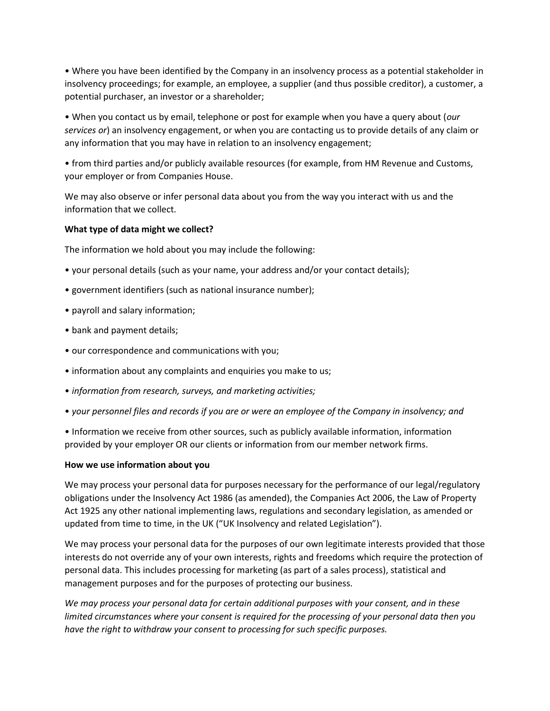• Where you have been identified by the Company in an insolvency process as a potential stakeholder in insolvency proceedings; for example, an employee, a supplier (and thus possible creditor), a customer, a potential purchaser, an investor or a shareholder;

• When you contact us by email, telephone or post for example when you have a query about (*our services or*) an insolvency engagement, or when you are contacting us to provide details of any claim or any information that you may have in relation to an insolvency engagement;

• from third parties and/or publicly available resources (for example, from HM Revenue and Customs, your employer or from Companies House.

We may also observe or infer personal data about you from the way you interact with us and the information that we collect.

# **What type of data might we collect?**

The information we hold about you may include the following:

- your personal details (such as your name, your address and/or your contact details);
- government identifiers (such as national insurance number);
- payroll and salary information;
- bank and payment details;
- our correspondence and communications with you;
- information about any complaints and enquiries you make to us;
- *information from research, surveys, and marketing activities;*
- *your personnel files and records if you are or were an employee of the Company in insolvency; and*

• Information we receive from other sources, such as publicly available information, information provided by your employer OR our clients or information from our member network firms.

# **How we use information about you**

We may process your personal data for purposes necessary for the performance of our legal/regulatory obligations under the Insolvency Act 1986 (as amended), the Companies Act 2006, the Law of Property Act 1925 any other national implementing laws, regulations and secondary legislation, as amended or updated from time to time, in the UK ("UK Insolvency and related Legislation").

We may process your personal data for the purposes of our own legitimate interests provided that those interests do not override any of your own interests, rights and freedoms which require the protection of personal data. This includes processing for marketing (as part of a sales process), statistical and management purposes and for the purposes of protecting our business.

*We may process your personal data for certain additional purposes with your consent, and in these limited circumstances where your consent is required for the processing of your personal data then you have the right to withdraw your consent to processing for such specific purposes.*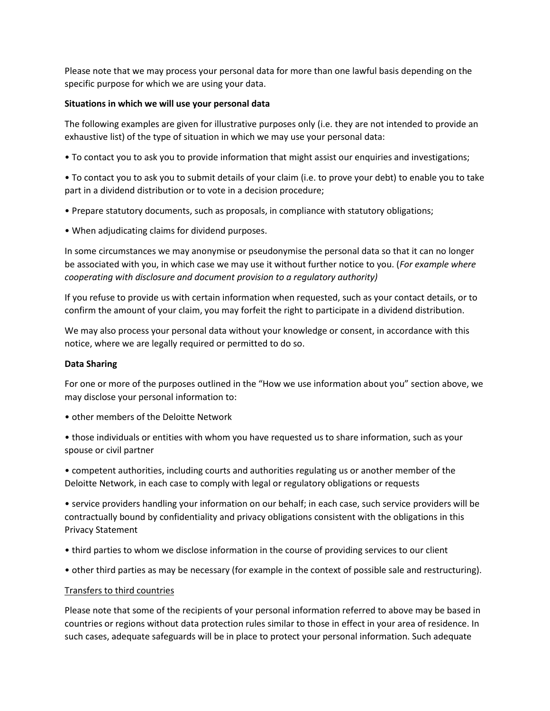Please note that we may process your personal data for more than one lawful basis depending on the specific purpose for which we are using your data.

### **Situations in which we will use your personal data**

The following examples are given for illustrative purposes only (i.e. they are not intended to provide an exhaustive list) of the type of situation in which we may use your personal data:

• To contact you to ask you to provide information that might assist our enquiries and investigations;

• To contact you to ask you to submit details of your claim (i.e. to prove your debt) to enable you to take part in a dividend distribution or to vote in a decision procedure;

- Prepare statutory documents, such as proposals, in compliance with statutory obligations;
- When adjudicating claims for dividend purposes.

In some circumstances we may anonymise or pseudonymise the personal data so that it can no longer be associated with you, in which case we may use it without further notice to you. (*For example where cooperating with disclosure and document provision to a regulatory authority)* 

If you refuse to provide us with certain information when requested, such as your contact details, or to confirm the amount of your claim, you may forfeit the right to participate in a dividend distribution.

We may also process your personal data without your knowledge or consent, in accordance with this notice, where we are legally required or permitted to do so.

#### **Data Sharing**

For one or more of the purposes outlined in the "How we use information about you" section above, we may disclose your personal information to:

• other members of the Deloitte Network

• those individuals or entities with whom you have requested us to share information, such as your spouse or civil partner

• competent authorities, including courts and authorities regulating us or another member of the Deloitte Network, in each case to comply with legal or regulatory obligations or requests

• service providers handling your information on our behalf; in each case, such service providers will be contractually bound by confidentiality and privacy obligations consistent with the obligations in this Privacy Statement

- third parties to whom we disclose information in the course of providing services to our client
- other third parties as may be necessary (for example in the context of possible sale and restructuring).

#### Transfers to third countries

Please note that some of the recipients of your personal information referred to above may be based in countries or regions without data protection rules similar to those in effect in your area of residence. In such cases, adequate safeguards will be in place to protect your personal information. Such adequate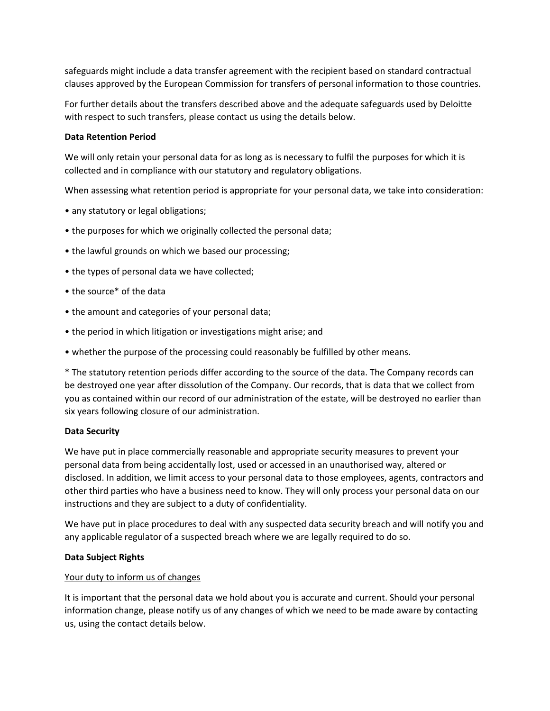safeguards might include a data transfer agreement with the recipient based on standard contractual clauses approved by the European Commission for transfers of personal information to those countries.

For further details about the transfers described above and the adequate safeguards used by Deloitte with respect to such transfers, please contact us using the details below.

### **Data Retention Period**

We will only retain your personal data for as long as is necessary to fulfil the purposes for which it is collected and in compliance with our statutory and regulatory obligations.

When assessing what retention period is appropriate for your personal data, we take into consideration:

- any statutory or legal obligations;
- the purposes for which we originally collected the personal data;
- the lawful grounds on which we based our processing;
- the types of personal data we have collected;
- the source\* of the data
- the amount and categories of your personal data;
- the period in which litigation or investigations might arise; and
- whether the purpose of the processing could reasonably be fulfilled by other means.

\* The statutory retention periods differ according to the source of the data. The Company records can be destroyed one year after dissolution of the Company. Our records, that is data that we collect from you as contained within our record of our administration of the estate, will be destroyed no earlier than six years following closure of our administration.

# **Data Security**

We have put in place commercially reasonable and appropriate security measures to prevent your personal data from being accidentally lost, used or accessed in an unauthorised way, altered or disclosed. In addition, we limit access to your personal data to those employees, agents, contractors and other third parties who have a business need to know. They will only process your personal data on our instructions and they are subject to a duty of confidentiality.

We have put in place procedures to deal with any suspected data security breach and will notify you and any applicable regulator of a suspected breach where we are legally required to do so.

# **Data Subject Rights**

# Your duty to inform us of changes

It is important that the personal data we hold about you is accurate and current. Should your personal information change, please notify us of any changes of which we need to be made aware by contacting us, using the contact details below.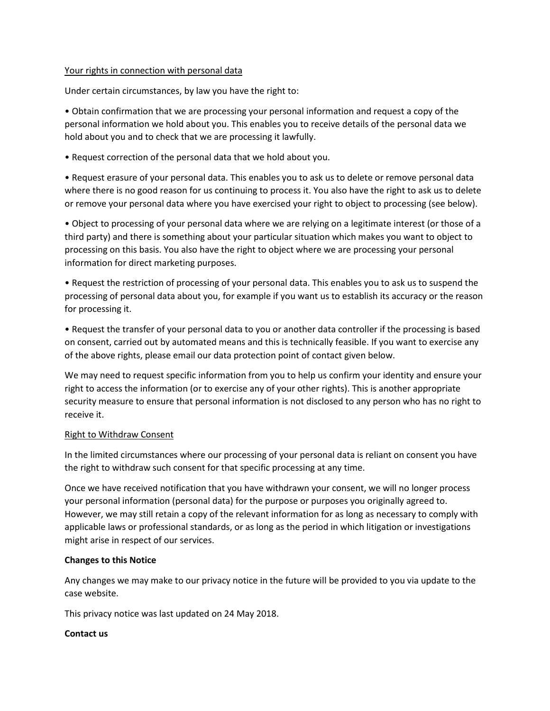#### Your rights in connection with personal data

Under certain circumstances, by law you have the right to:

• Obtain confirmation that we are processing your personal information and request a copy of the personal information we hold about you. This enables you to receive details of the personal data we hold about you and to check that we are processing it lawfully.

• Request correction of the personal data that we hold about you.

• Request erasure of your personal data. This enables you to ask us to delete or remove personal data where there is no good reason for us continuing to process it. You also have the right to ask us to delete or remove your personal data where you have exercised your right to object to processing (see below).

• Object to processing of your personal data where we are relying on a legitimate interest (or those of a third party) and there is something about your particular situation which makes you want to object to processing on this basis. You also have the right to object where we are processing your personal information for direct marketing purposes.

• Request the restriction of processing of your personal data. This enables you to ask us to suspend the processing of personal data about you, for example if you want us to establish its accuracy or the reason for processing it.

• Request the transfer of your personal data to you or another data controller if the processing is based on consent, carried out by automated means and this is technically feasible. If you want to exercise any of the above rights, please email our data protection point of contact given below.

We may need to request specific information from you to help us confirm your identity and ensure your right to access the information (or to exercise any of your other rights). This is another appropriate security measure to ensure that personal information is not disclosed to any person who has no right to receive it.

# Right to Withdraw Consent

In the limited circumstances where our processing of your personal data is reliant on consent you have the right to withdraw such consent for that specific processing at any time.

Once we have received notification that you have withdrawn your consent, we will no longer process your personal information (personal data) for the purpose or purposes you originally agreed to. However, we may still retain a copy of the relevant information for as long as necessary to comply with applicable laws or professional standards, or as long as the period in which litigation or investigations might arise in respect of our services.

# **Changes to this Notice**

Any changes we may make to our privacy notice in the future will be provided to you via update to the case website.

This privacy notice was last updated on 24 May 2018.

# **Contact us**